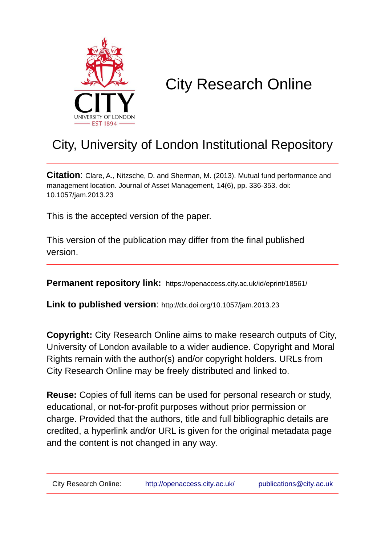

# City Research Online

### City, University of London Institutional Repository

**Citation**: Clare, A., Nitzsche, D. and Sherman, M. (2013). Mutual fund performance and management location. Journal of Asset Management, 14(6), pp. 336-353. doi: 10.1057/jam.2013.23

This is the accepted version of the paper.

This version of the publication may differ from the final published version.

**Permanent repository link:** https://openaccess.city.ac.uk/id/eprint/18561/

**Link to published version**: http://dx.doi.org/10.1057/jam.2013.23

**Copyright:** City Research Online aims to make research outputs of City, University of London available to a wider audience. Copyright and Moral Rights remain with the author(s) and/or copyright holders. URLs from City Research Online may be freely distributed and linked to.

**Reuse:** Copies of full items can be used for personal research or study, educational, or not-for-profit purposes without prior permission or charge. Provided that the authors, title and full bibliographic details are credited, a hyperlink and/or URL is given for the original metadata page and the content is not changed in any way.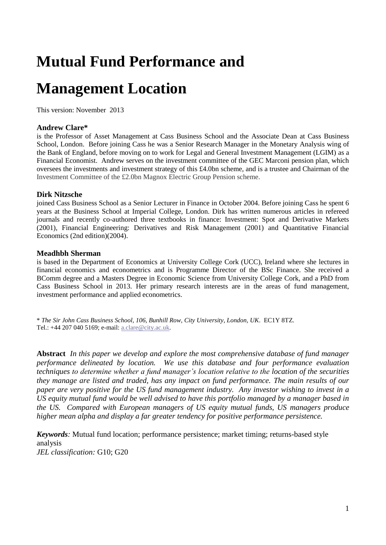## **Mutual Fund Performance and**

## **Management Location**

This version: November 2013

#### **Andrew Clare\***

is the Professor of Asset Management at Cass Business School and the Associate Dean at Cass Business School, London. Before joining Cass he was a Senior Research Manager in the Monetary Analysis wing of the Bank of England, before moving on to work for Legal and General Investment Management (LGIM) as a Financial Economist. Andrew serves on the investment committee of the GEC Marconi pension plan, which oversees the investments and investment strategy of this £4.0bn scheme, and is a trustee and Chairman of the Investment Committee of the £2.0bn Magnox Electric Group Pension scheme.

#### **Dirk Nitzsche**

joined Cass Business School as a Senior Lecturer in Finance in October 2004. Before joining Cass he spent 6 years at the Business School at Imperial College, London. Dirk has written numerous articles in refereed journals and recently co-authored three textbooks in finance: Investment: Spot and Derivative Markets (2001), Financial Engineering: Derivatives and Risk Management (2001) and Quantitative Financial Economics (2nd edition)(2004).

#### **Meadhbh Sherman**

is based in the Department of Economics at University College Cork (UCC), Ireland where she lectures in financial economics and econometrics and is Programme Director of the BSc Finance. She received a BComm degree and a Masters Degree in Economic Science from University College Cork, and a PhD from Cass Business School in 2013. Her primary research interests are in the areas of fund management, investment performance and applied econometrics.

\* *The Sir John Cass Business School, 106, Bunhill Row, City University, London, UK*. EC1Y 8TZ. Tel.: +44 207 040 5169; e-mail: [a.clare@city.ac.uk.](mailto:a.clare@city.ac.uk)

**Abstract** *In this paper we develop and explore the most comprehensive database of fund manager performance delineated by location. We use this database and four performance evaluation techniques to determine whether a fund manager's location relative to the location of the securities they manage are listed and traded, has any impact on fund performance. The main results of our paper are very positive for the US fund management industry. Any investor wishing to invest in a US equity mutual fund would be well advised to have this portfolio managed by a manager based in the US. Compared with European managers of US equity mutual funds, US managers produce higher mean alpha and display a far greater tendency for positive performance persistence.* 

*Keywords:* Mutual fund location; performance persistence; market timing; returns-based style analysis *JEL classification:* G10; G20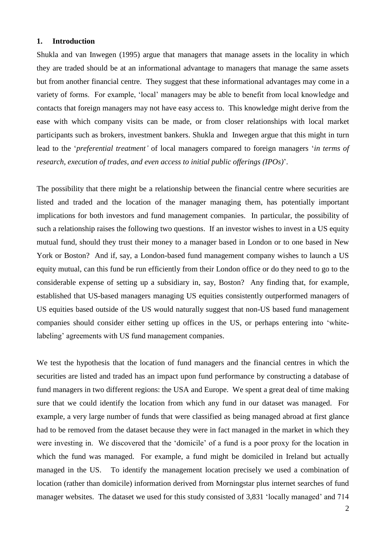#### **1. Introduction**

Shukla and van Inwegen (1995) argue that managers that manage assets in the locality in which they are traded should be at an informational advantage to managers that manage the same assets but from another financial centre. They suggest that these informational advantages may come in a variety of forms. For example, 'local' managers may be able to benefit from local knowledge and contacts that foreign managers may not have easy access to. This knowledge might derive from the ease with which company visits can be made, or from closer relationships with local market participants such as brokers, investment bankers. Shukla and Inwegen argue that this might in turn lead to the '*preferential treatment'* of local managers compared to foreign managers '*in terms of research, execution of trades, and even access to initial public offerings (IPOs)*'.

The possibility that there might be a relationship between the financial centre where securities are listed and traded and the location of the manager managing them, has potentially important implications for both investors and fund management companies. In particular, the possibility of such a relationship raises the following two questions. If an investor wishes to invest in a US equity mutual fund, should they trust their money to a manager based in London or to one based in New York or Boston? And if, say, a London-based fund management company wishes to launch a US equity mutual, can this fund be run efficiently from their London office or do they need to go to the considerable expense of setting up a subsidiary in, say, Boston? Any finding that, for example, established that US-based managers managing US equities consistently outperformed managers of US equities based outside of the US would naturally suggest that non-US based fund management companies should consider either setting up offices in the US, or perhaps entering into 'whitelabeling' agreements with US fund management companies.

We test the hypothesis that the location of fund managers and the financial centres in which the securities are listed and traded has an impact upon fund performance by constructing a database of fund managers in two different regions: the USA and Europe. We spent a great deal of time making sure that we could identify the location from which any fund in our dataset was managed. For example, a very large number of funds that were classified as being managed abroad at first glance had to be removed from the dataset because they were in fact managed in the market in which they were investing in. We discovered that the 'domicile' of a fund is a poor proxy for the location in which the fund was managed. For example, a fund might be domiciled in Ireland but actually managed in the US. To identify the management location precisely we used a combination of location (rather than domicile) information derived from Morningstar plus internet searches of fund manager websites. The dataset we used for this study consisted of 3,831 'locally managed' and 714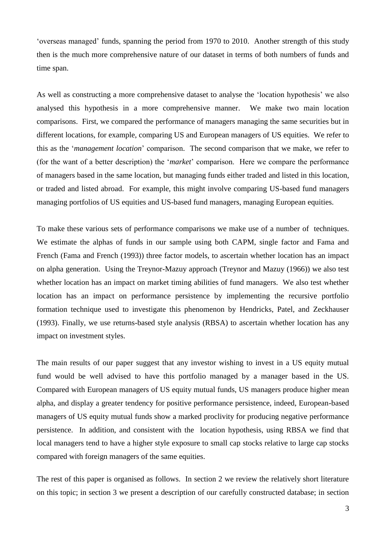'overseas managed' funds, spanning the period from 1970 to 2010. Another strength of this study then is the much more comprehensive nature of our dataset in terms of both numbers of funds and time span.

As well as constructing a more comprehensive dataset to analyse the 'location hypothesis' we also analysed this hypothesis in a more comprehensive manner. We make two main location comparisons. First, we compared the performance of managers managing the same securities but in different locations, for example, comparing US and European managers of US equities. We refer to this as the '*management location*' comparison. The second comparison that we make, we refer to (for the want of a better description) the '*market*' comparison. Here we compare the performance of managers based in the same location, but managing funds either traded and listed in this location, or traded and listed abroad. For example, this might involve comparing US-based fund managers managing portfolios of US equities and US-based fund managers, managing European equities.

To make these various sets of performance comparisons we make use of a number of techniques. We estimate the alphas of funds in our sample using both CAPM, single factor and Fama and French (Fama and French (1993)) three factor models, to ascertain whether location has an impact on alpha generation. Using the Treynor-Mazuy approach (Treynor and Mazuy (1966)) we also test whether location has an impact on market timing abilities of fund managers. We also test whether location has an impact on performance persistence by implementing the recursive portfolio formation technique used to investigate this phenomenon by Hendricks, Patel, and Zeckhauser (1993). Finally, we use returns-based style analysis (RBSA) to ascertain whether location has any impact on investment styles.

The main results of our paper suggest that any investor wishing to invest in a US equity mutual fund would be well advised to have this portfolio managed by a manager based in the US. Compared with European managers of US equity mutual funds, US managers produce higher mean alpha, and display a greater tendency for positive performance persistence, indeed, European-based managers of US equity mutual funds show a marked proclivity for producing negative performance persistence. In addition, and consistent with the location hypothesis, using RBSA we find that local managers tend to have a higher style exposure to small cap stocks relative to large cap stocks compared with foreign managers of the same equities.

The rest of this paper is organised as follows. In section 2 we review the relatively short literature on this topic; in section 3 we present a description of our carefully constructed database; in section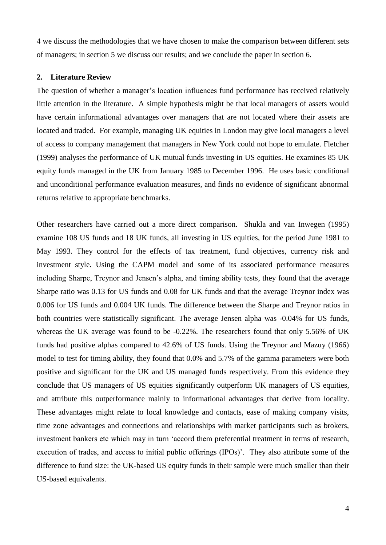4 we discuss the methodologies that we have chosen to make the comparison between different sets of managers; in section 5 we discuss our results; and we conclude the paper in section 6.

#### **2. Literature Review**

The question of whether a manager's location influences fund performance has received relatively little attention in the literature. A simple hypothesis might be that local managers of assets would have certain informational advantages over managers that are not located where their assets are located and traded. For example, managing UK equities in London may give local managers a level of access to company management that managers in New York could not hope to emulate. Fletcher (1999) analyses the performance of UK mutual funds investing in US equities. He examines 85 UK equity funds managed in the UK from January 1985 to December 1996. He uses basic conditional and unconditional performance evaluation measures, and finds no evidence of significant abnormal returns relative to appropriate benchmarks.

Other researchers have carried out a more direct comparison. Shukla and van Inwegen (1995) examine 108 US funds and 18 UK funds, all investing in US equities, for the period June 1981 to May 1993. They control for the effects of tax treatment, fund objectives, currency risk and investment style. Using the CAPM model and some of its associated performance measures including Sharpe, Treynor and Jensen's alpha, and timing ability tests, they found that the average Sharpe ratio was 0.13 for US funds and 0.08 for UK funds and that the average Treynor index was 0.006 for US funds and 0.004 UK funds. The difference between the Sharpe and Treynor ratios in both countries were statistically significant. The average Jensen alpha was -0.04% for US funds, whereas the UK average was found to be -0.22%. The researchers found that only 5.56% of UK funds had positive alphas compared to 42.6% of US funds. Using the Treynor and Mazuy (1966) model to test for timing ability, they found that 0.0% and 5.7% of the gamma parameters were both positive and significant for the UK and US managed funds respectively. From this evidence they conclude that US managers of US equities significantly outperform UK managers of US equities, and attribute this outperformance mainly to informational advantages that derive from locality. These advantages might relate to local knowledge and contacts, ease of making company visits, time zone advantages and connections and relationships with market participants such as brokers, investment bankers etc which may in turn 'accord them preferential treatment in terms of research, execution of trades, and access to initial public offerings (IPOs)'. They also attribute some of the difference to fund size: the UK-based US equity funds in their sample were much smaller than their US-based equivalents.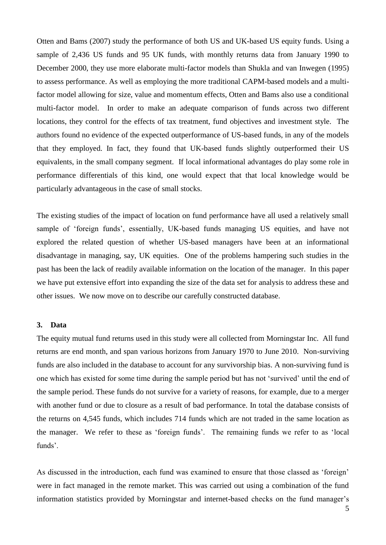Otten and Bams (2007) study the performance of both US and UK-based US equity funds. Using a sample of 2,436 US funds and 95 UK funds, with monthly returns data from January 1990 to December 2000, they use more elaborate multi-factor models than Shukla and van Inwegen (1995) to assess performance. As well as employing the more traditional CAPM-based models and a multifactor model allowing for size, value and momentum effects, Otten and Bams also use a conditional multi-factor model. In order to make an adequate comparison of funds across two different locations, they control for the effects of tax treatment, fund objectives and investment style. The authors found no evidence of the expected outperformance of US-based funds, in any of the models that they employed. In fact, they found that UK-based funds slightly outperformed their US equivalents, in the small company segment. If local informational advantages do play some role in performance differentials of this kind, one would expect that that local knowledge would be particularly advantageous in the case of small stocks.

The existing studies of the impact of location on fund performance have all used a relatively small sample of 'foreign funds', essentially, UK-based funds managing US equities, and have not explored the related question of whether US-based managers have been at an informational disadvantage in managing, say, UK equities. One of the problems hampering such studies in the past has been the lack of readily available information on the location of the manager. In this paper we have put extensive effort into expanding the size of the data set for analysis to address these and other issues. We now move on to describe our carefully constructed database.

#### **3. Data**

The equity mutual fund returns used in this study were all collected from Morningstar Inc. All fund returns are end month, and span various horizons from January 1970 to June 2010. Non-surviving funds are also included in the database to account for any survivorship bias. A non-surviving fund is one which has existed for some time during the sample period but has not 'survived' until the end of the sample period. These funds do not survive for a variety of reasons, for example, due to a merger with another fund or due to closure as a result of bad performance. In total the database consists of the returns on 4,545 funds, which includes 714 funds which are not traded in the same location as the manager. We refer to these as 'foreign funds'. The remaining funds we refer to as 'local funds'.

As discussed in the introduction, each fund was examined to ensure that those classed as 'foreign' were in fact managed in the remote market. This was carried out using a combination of the fund information statistics provided by Morningstar and internet-based checks on the fund manager's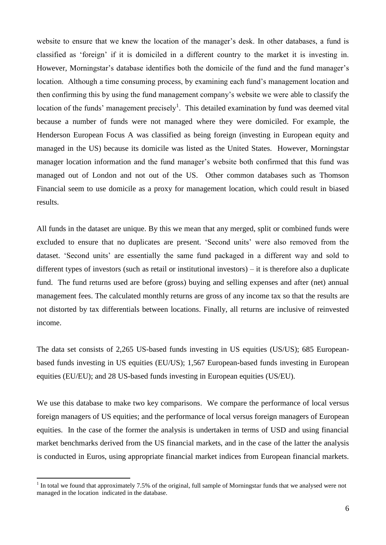website to ensure that we knew the location of the manager's desk. In other databases, a fund is classified as 'foreign' if it is domiciled in a different country to the market it is investing in. However, Morningstar's database identifies both the domicile of the fund and the fund manager's location. Although a time consuming process, by examining each fund's management location and then confirming this by using the fund management company's website we were able to classify the location of the funds' management precisely<sup>1</sup>. This detailed examination by fund was deemed vital because a number of funds were not managed where they were domiciled. For example, the Henderson European Focus A was classified as being foreign (investing in European equity and managed in the US) because its domicile was listed as the United States. However, Morningstar manager location information and the fund manager's website both confirmed that this fund was managed out of London and not out of the US. Other common databases such as Thomson Financial seem to use domicile as a proxy for management location, which could result in biased results.

All funds in the dataset are unique. By this we mean that any merged, split or combined funds were excluded to ensure that no duplicates are present. 'Second units' were also removed from the dataset. 'Second units' are essentially the same fund packaged in a different way and sold to different types of investors (such as retail or institutional investors) – it is therefore also a duplicate fund. The fund returns used are before (gross) buying and selling expenses and after (net) annual management fees. The calculated monthly returns are gross of any income tax so that the results are not distorted by tax differentials between locations. Finally, all returns are inclusive of reinvested income.

The data set consists of 2,265 US-based funds investing in US equities (US/US); 685 Europeanbased funds investing in US equities (EU/US); 1,567 European-based funds investing in European equities (EU/EU); and 28 US-based funds investing in European equities (US/EU).

We use this database to make two key comparisons. We compare the performance of local versus foreign managers of US equities; and the performance of local versus foreign managers of European equities. In the case of the former the analysis is undertaken in terms of USD and using financial market benchmarks derived from the US financial markets, and in the case of the latter the analysis is conducted in Euros, using appropriate financial market indices from European financial markets.

<u>.</u>

<sup>1</sup> In total we found that approximately 7.5% of the original, full sample of Morningstar funds that we analysed were not managed in the location indicated in the database.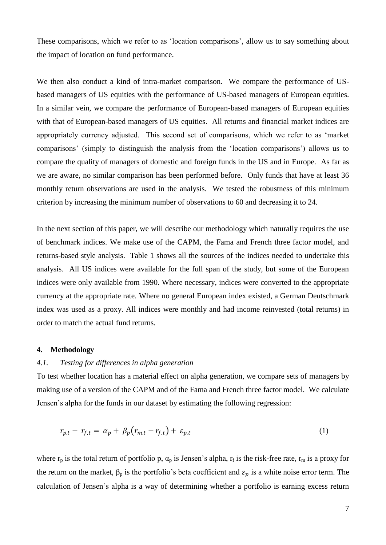These comparisons, which we refer to as 'location comparisons', allow us to say something about the impact of location on fund performance.

We then also conduct a kind of intra-market comparison. We compare the performance of USbased managers of US equities with the performance of US-based managers of European equities. In a similar vein, we compare the performance of European-based managers of European equities with that of European-based managers of US equities. All returns and financial market indices are appropriately currency adjusted. This second set of comparisons, which we refer to as 'market comparisons' (simply to distinguish the analysis from the 'location comparisons') allows us to compare the quality of managers of domestic and foreign funds in the US and in Europe. As far as we are aware, no similar comparison has been performed before. Only funds that have at least 36 monthly return observations are used in the analysis. We tested the robustness of this minimum criterion by increasing the minimum number of observations to 60 and decreasing it to 24.

In the next section of this paper, we will describe our methodology which naturally requires the use of benchmark indices. We make use of the CAPM, the Fama and French three factor model, and returns-based style analysis. Table 1 shows all the sources of the indices needed to undertake this analysis. All US indices were available for the full span of the study, but some of the European indices were only available from 1990. Where necessary, indices were converted to the appropriate currency at the appropriate rate. Where no general European index existed, a German Deutschmark index was used as a proxy. All indices were monthly and had income reinvested (total returns) in order to match the actual fund returns.

#### **4. Methodology**

#### *4.1. Testing for differences in alpha generation*

To test whether location has a material effect on alpha generation, we compare sets of managers by making use of a version of the CAPM and of the Fama and French three factor model. We calculate Jensen's alpha for the funds in our dataset by estimating the following regression:

$$
r_{p,t} - r_{f,t} = \alpha_p + \beta_p \left( r_{m,t} - r_{f,t} \right) + \varepsilon_{p,t} \tag{1}
$$

where  $r_p$  is the total return of portfolio p,  $\alpha_p$  is Jensen's alpha,  $r_f$  is the risk-free rate,  $r_m$  is a proxy for the return on the market,  $\beta_p$  is the portfolio's beta coefficient and  $\varepsilon_p$  is a white noise error term. The calculation of Jensen's alpha is a way of determining whether a portfolio is earning excess return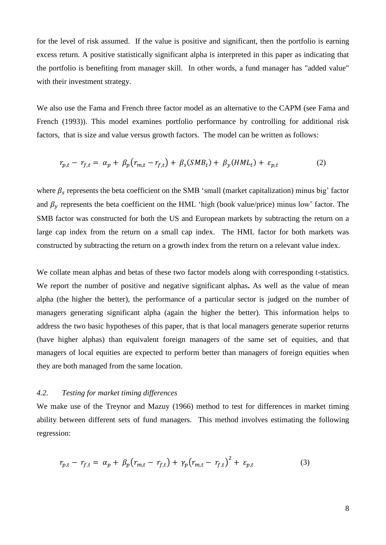for the level of risk assumed. If the value is positive and significant, then the portfolio is earning excess return. A positive statistically significant alpha is interpreted in this paper as indicating that the portfolio is benefiting from manager skill. In other words, a fund manager has "added value" with their investment strategy.

We also use the Fama and French three factor model as an alternative to the CAPM (see Fama and French (1993)). This model examines portfolio performance by controlling for additional risk factors, that is size and value versus growth factors. The model can be written as follows:

$$
r_{p,t} - r_{f,t} = \alpha_p + \beta_p \left( r_{m,t} - r_{f,t} \right) + \beta_s (SMB_t) + \beta_y (HML_t) + \varepsilon_{p,t} \tag{2}
$$

where  $\beta_s$  represents the beta coefficient on the SMB 'small (market capitalization) minus big' factor and  $\beta_{v}$  represents the beta coefficient on the HML 'high (book value/price) minus low' factor. The SMB factor was constructed for both the US and European markets by subtracting the return on a large cap index from the return on a small cap index. The HML factor for both markets was constructed by subtracting the return on a growth index from the return on a relevant value index.

We collate mean alphas and betas of these two factor models along with corresponding t-statistics. We report the number of positive and negative significant alphas**.** As well as the value of mean alpha (the higher the better), the performance of a particular sector is judged on the number of managers generating significant alpha (again the higher the better). This information helps to address the two basic hypotheses of this paper, that is that local managers generate superior returns (have higher alphas) than equivalent foreign managers of the same set of equities, and that managers of local equities are expected to perform better than managers of foreign equities when they are both managed from the same location.

### *4.2. Testing for market timing differences*

We make use of the Treynor and Mazuy (1966) method to test for differences in market timing ability between different sets of fund managers. This method involves estimating the following regression:

$$
r_{p,t} - r_{f,t} = \alpha_p + \beta_p (r_{m,t} - r_{f,t}) + \gamma_p (r_{m,t} - r_{f,t})^2 + \varepsilon_{p,t}
$$
 (3)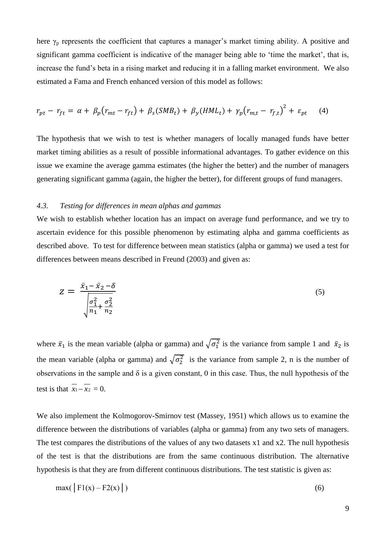here  $\gamma_p$  represents the coefficient that captures a manager's market timing ability. A positive and significant gamma coefficient is indicative of the manager being able to 'time the market', that is, increase the fund's beta in a rising market and reducing it in a falling market environment. We also estimated a Fama and French enhanced version of this model as follows:

$$
r_{pt} - r_{ft} = \alpha + \beta_p (r_{mt} - r_{ft}) + \beta_s (SMB_t) + \beta_y (HML_t) + \gamma_p (r_{m,t} - r_{f,t})^2 + \varepsilon_{pt} \tag{4}
$$

The hypothesis that we wish to test is whether managers of locally managed funds have better market timing abilities as a result of possible informational advantages. To gather evidence on this issue we examine the average gamma estimates (the higher the better) and the number of managers generating significant gamma (again, the higher the better), for different groups of fund managers.

#### *4.3. Testing for differences in mean alphas and gammas*

We wish to establish whether location has an impact on average fund performance, and we try to ascertain evidence for this possible phenomenon by estimating alpha and gamma coefficients as described above. To test for difference between mean statistics (alpha or gamma) we used a test for differences between means described in Freund (2003) and given as:

$$
z = \frac{\bar{x}_1 - \bar{x}_2 - \delta}{\sqrt{\frac{\sigma_1^2}{n_1} + \frac{\sigma_2^2}{n_2}}}
$$
\n(5)

where  $\bar{x}_1$  is the mean variable (alpha or gamma) and  $\sqrt{\sigma_1^2}$  is the variance from sample 1 and  $\bar{x}_2$  is the mean variable (alpha or gamma) and  $\sqrt{\sigma_2^2}$  is the variance from sample 2, n is the number of observations in the sample and  $\delta$  is a given constant, 0 in this case. Thus, the null hypothesis of the test is that  $x_1 - x_2 = 0$ .

We also implement the Kolmogorov-Smirnov test (Massey, 1951) which allows us to examine the difference between the distributions of variables (alpha or gamma) from any two sets of managers. The test compares the distributions of the values of any two datasets x1 and x2. The null hypothesis of the test is that the distributions are from the same continuous distribution. The alternative hypothesis is that they are from different continuous distributions. The test statistic is given as:

$$
\max(\left| \mathbf{F} 1(\mathbf{x}) - \mathbf{F} 2(\mathbf{x}) \right|) \tag{6}
$$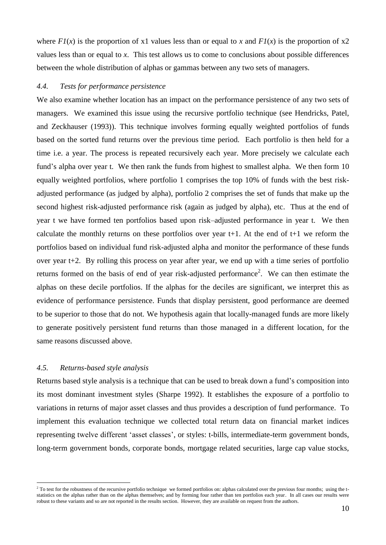where  $FI(x)$  is the proportion of x1 values less than or equal to x and  $FI(x)$  is the proportion of x2 values less than or equal to *x*. This test allows us to come to conclusions about possible differences between the whole distribution of alphas or gammas between any two sets of managers.

#### *4.4. Tests for performance persistence*

We also examine whether location has an impact on the performance persistence of any two sets of managers. We examined this issue using the recursive portfolio technique (see Hendricks, Patel, and Zeckhauser (1993)). This technique involves forming equally weighted portfolios of funds based on the sorted fund returns over the previous time period. Each portfolio is then held for a time i.e. a year. The process is repeated recursively each year. More precisely we calculate each fund's alpha over year t. We then rank the funds from highest to smallest alpha. We then form 10 equally weighted portfolios, where portfolio 1 comprises the top 10% of funds with the best riskadjusted performance (as judged by alpha), portfolio 2 comprises the set of funds that make up the second highest risk-adjusted performance risk (again as judged by alpha), etc. Thus at the end of year t we have formed ten portfolios based upon risk–adjusted performance in year t. We then calculate the monthly returns on these portfolios over year  $t+1$ . At the end of  $t+1$  we reform the portfolios based on individual fund risk-adjusted alpha and monitor the performance of these funds over year t+2. By rolling this process on year after year, we end up with a time series of portfolio returns formed on the basis of end of year risk-adjusted performance<sup>2</sup>. We can then estimate the alphas on these decile portfolios. If the alphas for the deciles are significant, we interpret this as evidence of performance persistence. Funds that display persistent, good performance are deemed to be superior to those that do not*.* We hypothesis again that locally-managed funds are more likely to generate positively persistent fund returns than those managed in a different location, for the same reasons discussed above.

#### *4.5. Returns-based style analysis*

1

Returns based style analysis is a technique that can be used to break down a fund's composition into its most dominant investment styles (Sharpe 1992). It establishes the exposure of a portfolio to variations in returns of major asset classes and thus provides a description of fund performance. To implement this evaluation technique we collected total return data on financial market indices representing twelve different 'asset classes', or styles: t-bills, intermediate-term government bonds, long-term government bonds, corporate bonds, mortgage related securities, large cap value stocks,

<sup>&</sup>lt;sup>2</sup> To test for the robustness of the recursive portfolio technique we formed portfolios on: alphas calculated over the previous four months; using the tstatistics on the alphas rather than on the alphas themselves; and by forming four rather than ten portfolios each year. In all cases our results were robust to these variants and so are not reported in the results section. However, they are available on request from the authors.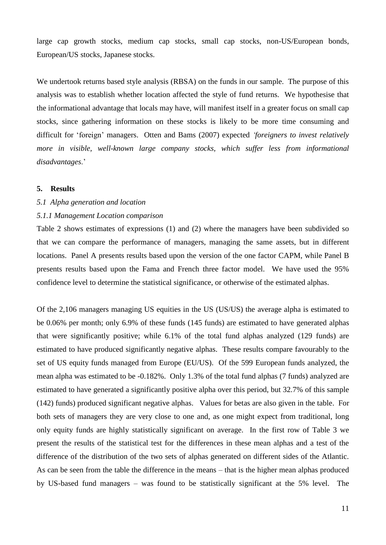large cap growth stocks, medium cap stocks, small cap stocks, non-US/European bonds, European/US stocks, Japanese stocks.

We undertook returns based style analysis (RBSA) on the funds in our sample. The purpose of this analysis was to establish whether location affected the style of fund returns. We hypothesise that the informational advantage that locals may have, will manifest itself in a greater focus on small cap stocks, since gathering information on these stocks is likely to be more time consuming and difficult for 'foreign' managers. Otten and Bams (2007) expected *'foreigners to invest relatively more in visible, well-known large company stocks, which suffer less from informational disadvantages*.'

#### **5. Results**

#### *5.1 Alpha generation and location*

#### *5.1.1 Management Location comparison*

Table 2 shows estimates of expressions (1) and (2) where the managers have been subdivided so that we can compare the performance of managers, managing the same assets, but in different locations. Panel A presents results based upon the version of the one factor CAPM, while Panel B presents results based upon the Fama and French three factor model. We have used the 95% confidence level to determine the statistical significance, or otherwise of the estimated alphas.

Of the 2,106 managers managing US equities in the US (US/US) the average alpha is estimated to be 0.06% per month; only 6.9% of these funds (145 funds) are estimated to have generated alphas that were significantly positive; while 6.1% of the total fund alphas analyzed (129 funds) are estimated to have produced significantly negative alphas. These results compare favourably to the set of US equity funds managed from Europe (EU/US). Of the 599 European funds analyzed, the mean alpha was estimated to be -0.182%. Only 1.3% of the total fund alphas (7 funds) analyzed are estimated to have generated a significantly positive alpha over this period, but 32.7% of this sample (142) funds) produced significant negative alphas. Values for betas are also given in the table. For both sets of managers they are very close to one and, as one might expect from traditional, long only equity funds are highly statistically significant on average. In the first row of Table 3 we present the results of the statistical test for the differences in these mean alphas and a test of the difference of the distribution of the two sets of alphas generated on different sides of the Atlantic. As can be seen from the table the difference in the means – that is the higher mean alphas produced by US-based fund managers – was found to be statistically significant at the 5% level. The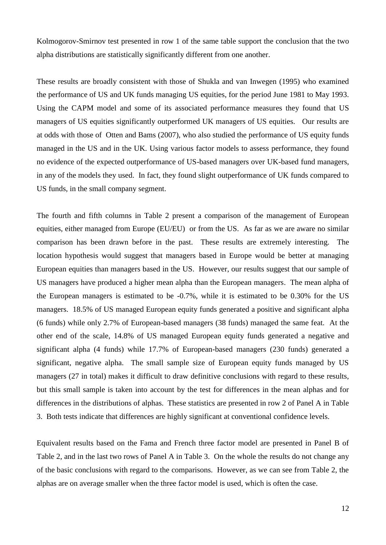Kolmogorov-Smirnov test presented in row 1 of the same table support the conclusion that the two alpha distributions are statistically significantly different from one another.

These results are broadly consistent with those of Shukla and van Inwegen (1995) who examined the performance of US and UK funds managing US equities, for the period June 1981 to May 1993. Using the CAPM model and some of its associated performance measures they found that US managers of US equities significantly outperformed UK managers of US equities. Our results are at odds with those of Otten and Bams (2007), who also studied the performance of US equity funds managed in the US and in the UK. Using various factor models to assess performance, they found no evidence of the expected outperformance of US-based managers over UK-based fund managers, in any of the models they used. In fact, they found slight outperformance of UK funds compared to US funds, in the small company segment.

The fourth and fifth columns in Table 2 present a comparison of the management of European equities, either managed from Europe (EU/EU) or from the US. As far as we are aware no similar comparison has been drawn before in the past. These results are extremely interesting. The location hypothesis would suggest that managers based in Europe would be better at managing European equities than managers based in the US. However, our results suggest that our sample of US managers have produced a higher mean alpha than the European managers. The mean alpha of the European managers is estimated to be -0.7%, while it is estimated to be 0.30% for the US managers. 18.5% of US managed European equity funds generated a positive and significant alpha (6 funds) while only 2.7% of European-based managers (38 funds) managed the same feat. At the other end of the scale, 14.8% of US managed European equity funds generated a negative and significant alpha (4 funds) while 17.7% of European-based managers (230 funds) generated a significant, negative alpha. The small sample size of European equity funds managed by US managers (27 in total) makes it difficult to draw definitive conclusions with regard to these results, but this small sample is taken into account by the test for differences in the mean alphas and for differences in the distributions of alphas. These statistics are presented in row 2 of Panel A in Table 3. Both tests indicate that differences are highly significant at conventional confidence levels.

Equivalent results based on the Fama and French three factor model are presented in Panel B of Table 2, and in the last two rows of Panel A in Table 3. On the whole the results do not change any of the basic conclusions with regard to the comparisons. However, as we can see from Table 2, the alphas are on average smaller when the three factor model is used, which is often the case.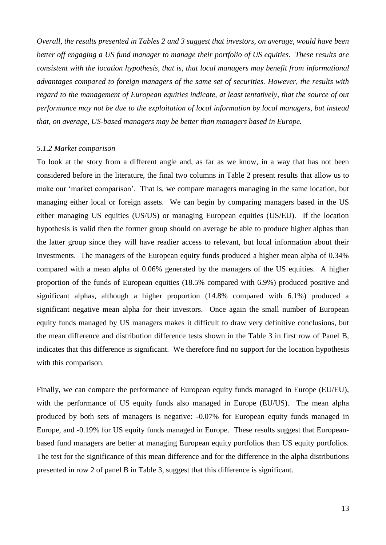*Overall, the results presented in Tables 2 and 3 suggest that investors, on average, would have been better off engaging a US fund manager to manage their portfolio of US equities. These results are consistent with the location hypothesis, that is, that local managers may benefit from informational advantages compared to foreign managers of the same set of securities. However, the results with regard to the management of European equities indicate, at least tentatively, that the source of out performance may not be due to the exploitation of local information by local managers, but instead that, on average, US-based managers may be better than managers based in Europe.*

#### *5.1.2 Market comparison*

To look at the story from a different angle and, as far as we know, in a way that has not been considered before in the literature, the final two columns in Table 2 present results that allow us to make our 'market comparison'. That is, we compare managers managing in the same location, but managing either local or foreign assets. We can begin by comparing managers based in the US either managing US equities (US/US) or managing European equities (US/EU). If the location hypothesis is valid then the former group should on average be able to produce higher alphas than the latter group since they will have readier access to relevant, but local information about their investments. The managers of the European equity funds produced a higher mean alpha of 0.34% compared with a mean alpha of 0.06% generated by the managers of the US equities. A higher proportion of the funds of European equities (18.5% compared with 6.9%) produced positive and significant alphas, although a higher proportion (14.8% compared with 6.1%) produced a significant negative mean alpha for their investors. Once again the small number of European equity funds managed by US managers makes it difficult to draw very definitive conclusions, but the mean difference and distribution difference tests shown in the Table 3 in first row of Panel B, indicates that this difference is significant. We therefore find no support for the location hypothesis with this comparison.

Finally, we can compare the performance of European equity funds managed in Europe (EU/EU), with the performance of US equity funds also managed in Europe (EU/US). The mean alpha produced by both sets of managers is negative: -0.07% for European equity funds managed in Europe, and -0.19% for US equity funds managed in Europe. These results suggest that Europeanbased fund managers are better at managing European equity portfolios than US equity portfolios. The test for the significance of this mean difference and for the difference in the alpha distributions presented in row 2 of panel B in Table 3, suggest that this difference is significant.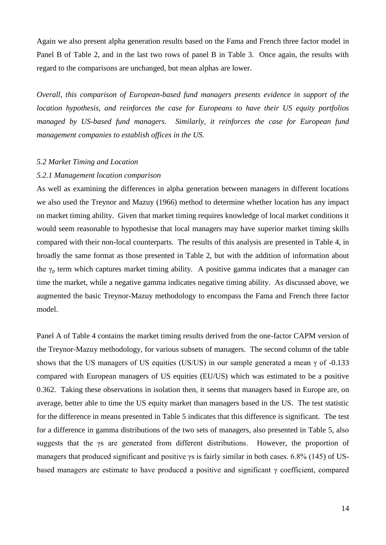Again we also present alpha generation results based on the Fama and French three factor model in Panel B of Table 2, and in the last two rows of panel B in Table 3. Once again, the results with regard to the comparisons are unchanged, but mean alphas are lower.

*Overall, this comparison of European-based fund managers presents evidence in support of the location hypothesis, and reinforces the case for Europeans to have their US equity portfolios managed by US-based fund managers. Similarly, it reinforces the case for European fund management companies to establish offices in the US.*

#### *5.2 Market Timing and Location*

#### *5.2.1 Management location comparison*

As well as examining the differences in alpha generation between managers in different locations we also used the Treynor and Mazuy (1966) method to determine whether location has any impact on market timing ability. Given that market timing requires knowledge of local market conditions it would seem reasonable to hypothesise that local managers may have superior market timing skills compared with their non-local counterparts. The results of this analysis are presented in Table 4, in broadly the same format as those presented in Table 2, but with the addition of information about the  $\gamma_p$  term which captures market timing ability. A positive gamma indicates that a manager can time the market, while a negative gamma indicates negative timing ability. As discussed above, we augmented the basic Treynor-Mazuy methodology to encompass the Fama and French three factor model.

Panel A of Table 4 contains the market timing results derived from the one-factor CAPM version of the Treynor-Mazuy methodology, for various subsets of managers. The second column of the table shows that the US managers of US equities (US/US) in our sample generated a mean γ of -0.133 compared with European managers of US equities (EU/US) which was estimated to be a positive 0.362. Taking these observations in isolation then, it seems that managers based in Europe are, on average, better able to time the US equity market than managers based in the US. The test statistic for the difference in means presented in Table 5 indicates that this difference is significant. The test for a difference in gamma distributions of the two sets of managers, also presented in Table 5, also suggests that the γs are generated from different distributions. However, the proportion of managers that produced significant and positive γs is fairly similar in both cases. 6.8% (145) of USbased managers are estimate to have produced a positive and significant γ coefficient, compared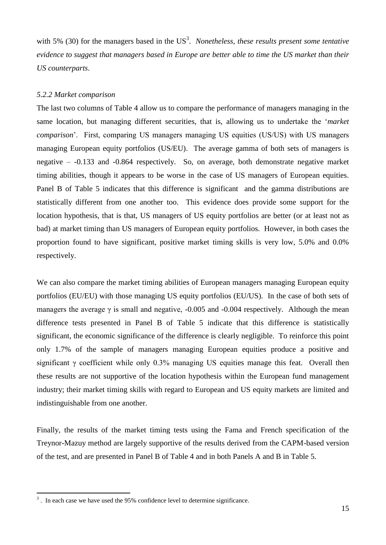with 5%  $(30)$  for the managers based in the US<sup>3</sup>. *Nonetheless, these results present some tentative evidence to suggest that managers based in Europe are better able to time the US market than their US counterparts*.

#### *5.2.2 Market comparison*

The last two columns of Table 4 allow us to compare the performance of managers managing in the same location, but managing different securities, that is, allowing us to undertake the '*market comparison*'. First, comparing US managers managing US equities (US/US) with US managers managing European equity portfolios (US/EU). The average gamma of both sets of managers is negative – -0.133 and -0.864 respectively. So, on average, both demonstrate negative market timing abilities, though it appears to be worse in the case of US managers of European equities. Panel B of Table 5 indicates that this difference is significant and the gamma distributions are statistically different from one another too. This evidence does provide some support for the location hypothesis, that is that, US managers of US equity portfolios are better (or at least not as bad) at market timing than US managers of European equity portfolios. However, in both cases the proportion found to have significant, positive market timing skills is very low, 5.0% and 0.0% respectively.

We can also compare the market timing abilities of European managers managing European equity portfolios (EU/EU) with those managing US equity portfolios (EU/US). In the case of both sets of managers the average  $\gamma$  is small and negative, -0.005 and -0.004 respectively. Although the mean difference tests presented in Panel B of Table 5 indicate that this difference is statistically significant, the economic significance of the difference is clearly negligible. To reinforce this point only 1.7% of the sample of managers managing European equities produce a positive and significant  $\gamma$  coefficient while only 0.3% managing US equities manage this feat. Overall then these results are not supportive of the location hypothesis within the European fund management industry; their market timing skills with regard to European and US equity markets are limited and indistinguishable from one another.

Finally, the results of the market timing tests using the Fama and French specification of the Treynor-Mazuy method are largely supportive of the results derived from the CAPM-based version of the test, and are presented in Panel B of Table 4 and in both Panels A and B in Table 5.

1

<sup>&</sup>lt;sup>3</sup>. In each case we have used the 95% confidence level to determine significance.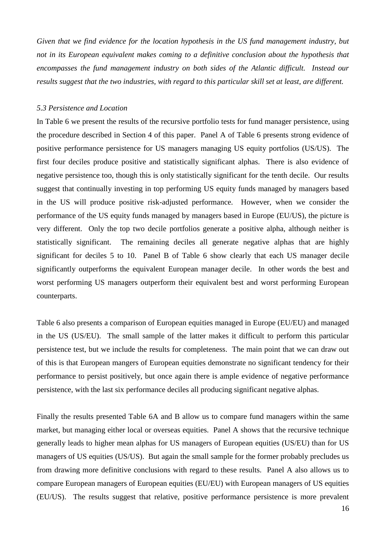*Given that we find evidence for the location hypothesis in the US fund management industry, but not in its European equivalent makes coming to a definitive conclusion about the hypothesis that encompasses the fund management industry on both sides of the Atlantic difficult. Instead our results suggest that the two industries, with regard to this particular skill set at least, are different.* 

#### *5.3 Persistence and Location*

In Table 6 we present the results of the recursive portfolio tests for fund manager persistence, using the procedure described in Section 4 of this paper. Panel A of Table 6 presents strong evidence of positive performance persistence for US managers managing US equity portfolios (US/US). The first four deciles produce positive and statistically significant alphas. There is also evidence of negative persistence too, though this is only statistically significant for the tenth decile. Our results suggest that continually investing in top performing US equity funds managed by managers based in the US will produce positive risk-adjusted performance. However, when we consider the performance of the US equity funds managed by managers based in Europe (EU/US), the picture is very different. Only the top two decile portfolios generate a positive alpha, although neither is statistically significant. The remaining deciles all generate negative alphas that are highly significant for deciles 5 to 10. Panel B of Table 6 show clearly that each US manager decile significantly outperforms the equivalent European manager decile. In other words the best and worst performing US managers outperform their equivalent best and worst performing European counterparts.

Table 6 also presents a comparison of European equities managed in Europe (EU/EU) and managed in the US (US/EU). The small sample of the latter makes it difficult to perform this particular persistence test, but we include the results for completeness. The main point that we can draw out of this is that European mangers of European equities demonstrate no significant tendency for their performance to persist positively, but once again there is ample evidence of negative performance persistence, with the last six performance deciles all producing significant negative alphas.

Finally the results presented Table 6A and B allow us to compare fund managers within the same market, but managing either local or overseas equities. Panel A shows that the recursive technique generally leads to higher mean alphas for US managers of European equities (US/EU) than for US managers of US equities (US/US). But again the small sample for the former probably precludes us from drawing more definitive conclusions with regard to these results. Panel A also allows us to compare European managers of European equities (EU/EU) with European managers of US equities (EU/US). The results suggest that relative, positive performance persistence is more prevalent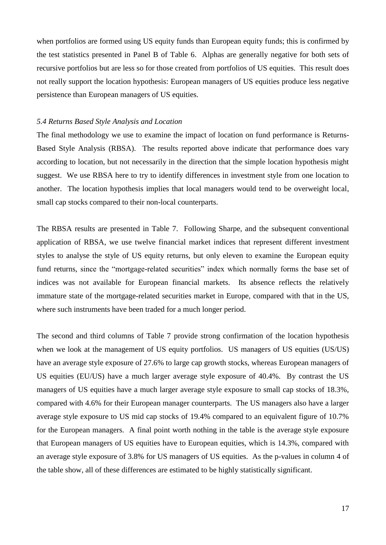when portfolios are formed using US equity funds than European equity funds; this is confirmed by the test statistics presented in Panel B of Table 6. Alphas are generally negative for both sets of recursive portfolios but are less so for those created from portfolios of US equities. This result does not really support the location hypothesis: European managers of US equities produce less negative persistence than European managers of US equities.

#### *5.4 Returns Based Style Analysis and Location*

The final methodology we use to examine the impact of location on fund performance is Returns-Based Style Analysis (RBSA). The results reported above indicate that performance does vary according to location, but not necessarily in the direction that the simple location hypothesis might suggest. We use RBSA here to try to identify differences in investment style from one location to another. The location hypothesis implies that local managers would tend to be overweight local, small cap stocks compared to their non-local counterparts.

The RBSA results are presented in Table 7. Following Sharpe, and the subsequent conventional application of RBSA, we use twelve financial market indices that represent different investment styles to analyse the style of US equity returns, but only eleven to examine the European equity fund returns, since the "mortgage-related securities" index which normally forms the base set of indices was not available for European financial markets. Its absence reflects the relatively immature state of the mortgage-related securities market in Europe, compared with that in the US, where such instruments have been traded for a much longer period.

The second and third columns of Table 7 provide strong confirmation of the location hypothesis when we look at the management of US equity portfolios. US managers of US equities (US/US) have an average style exposure of 27.6% to large cap growth stocks, whereas European managers of US equities (EU/US) have a much larger average style exposure of 40.4%. By contrast the US managers of US equities have a much larger average style exposure to small cap stocks of 18.3%, compared with 4.6% for their European manager counterparts. The US managers also have a larger average style exposure to US mid cap stocks of 19.4% compared to an equivalent figure of 10.7% for the European managers. A final point worth nothing in the table is the average style exposure that European managers of US equities have to European equities, which is 14.3%, compared with an average style exposure of 3.8% for US managers of US equities. As the p-values in column 4 of the table show, all of these differences are estimated to be highly statistically significant.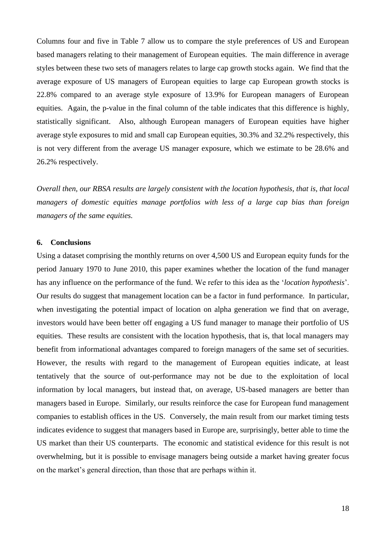Columns four and five in Table 7 allow us to compare the style preferences of US and European based managers relating to their management of European equities. The main difference in average styles between these two sets of managers relates to large cap growth stocks again. We find that the average exposure of US managers of European equities to large cap European growth stocks is 22.8% compared to an average style exposure of 13.9% for European managers of European equities. Again, the p-value in the final column of the table indicates that this difference is highly, statistically significant. Also, although European managers of European equities have higher average style exposures to mid and small cap European equities, 30.3% and 32.2% respectively, this is not very different from the average US manager exposure, which we estimate to be 28.6% and 26.2% respectively.

*Overall then, our RBSA results are largely consistent with the location hypothesis, that is, that local managers of domestic equities manage portfolios with less of a large cap bias than foreign managers of the same equities.*

#### **6. Conclusions**

Using a dataset comprising the monthly returns on over 4,500 US and European equity funds for the period January 1970 to June 2010, this paper examines whether the location of the fund manager has any influence on the performance of the fund. We refer to this idea as the '*location hypothesis*'. Our results do suggest that management location can be a factor in fund performance. In particular, when investigating the potential impact of location on alpha generation we find that on average, investors would have been better off engaging a US fund manager to manage their portfolio of US equities. These results are consistent with the location hypothesis, that is, that local managers may benefit from informational advantages compared to foreign managers of the same set of securities. However, the results with regard to the management of European equities indicate, at least tentatively that the source of out-performance may not be due to the exploitation of local information by local managers, but instead that, on average, US-based managers are better than managers based in Europe. Similarly, our results reinforce the case for European fund management companies to establish offices in the US. Conversely, the main result from our market timing tests indicates evidence to suggest that managers based in Europe are, surprisingly, better able to time the US market than their US counterparts. The economic and statistical evidence for this result is not overwhelming, but it is possible to envisage managers being outside a market having greater focus on the market's general direction, than those that are perhaps within it.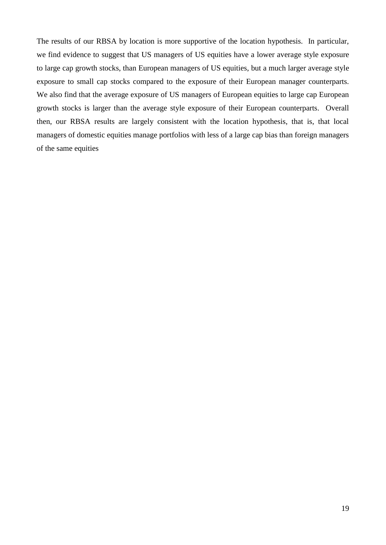The results of our RBSA by location is more supportive of the location hypothesis. In particular, we find evidence to suggest that US managers of US equities have a lower average style exposure to large cap growth stocks, than European managers of US equities, but a much larger average style exposure to small cap stocks compared to the exposure of their European manager counterparts. We also find that the average exposure of US managers of European equities to large cap European growth stocks is larger than the average style exposure of their European counterparts. Overall then, our RBSA results are largely consistent with the location hypothesis, that is, that local managers of domestic equities manage portfolios with less of a large cap bias than foreign managers of the same equities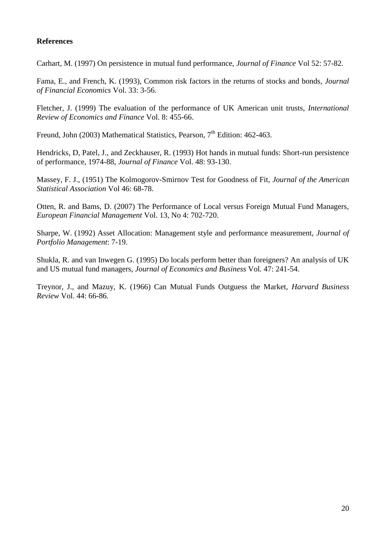### **References**

Carhart, M. (1997) On persistence in mutual fund performance, *Journal of Finance* Vol 52: 57-82.

Fama, E., and French, K. (1993), Common risk factors in the returns of stocks and bonds, *Journal of Financial Economics* Vol. 33: 3-56.

Fletcher, J. (1999) The evaluation of the performance of UK American unit trusts, *International Review of Economics and Finance* Vol. 8: 455-66.

Freund, John (2003) Mathematical Statistics, Pearson,  $7<sup>th</sup>$  Edition: 462-463.

Hendricks, D, Patel, J., and Zeckhauser, R. (1993) Hot hands in mutual funds: Short-run persistence of performance, 1974-88, *Journal of Finance* Vol. 48: 93-130.

Massey, F. J., (1951) The Kolmogorov-Smirnov Test for Goodness of Fit, *Journal of the American Statistical Association* Vol 46: 68-78.

Otten, R. and Bams, D. (2007) The Performance of Local versus Foreign Mutual Fund Managers, *European Financial Management* Vol. 13, No 4: 702-720.

Sharpe, W. (1992) Asset Allocation: Management style and performance measurement, *Journal of Portfolio Management*: 7-19.

Shukla, R. and van Inwegen G. (1995) Do locals perform better than foreigners? An analysis of UK and US mutual fund managers, *Journal of Economics and Business* Vol. 47: 241-54.

Treynor, J., and Mazuy, K. (1966) Can Mutual Funds Outguess the Market, *Harvard Business Review* Vol. 44: 66-86.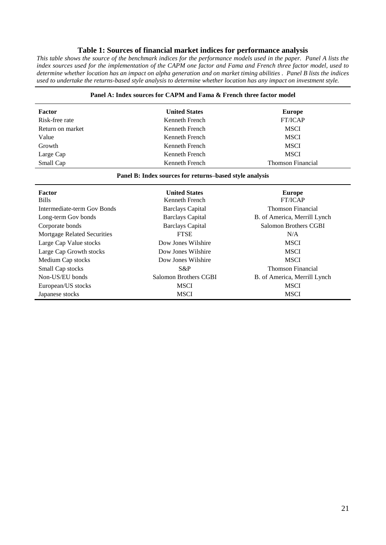#### **Table 1: Sources of financial market indices for performance analysis**

*This table shows the source of the benchmark indices for the performance models used in the paper. Panel A lists the index sources used for the implementation of the CAPM one factor and Fama and French three factor model, used to determine whether location has an impact on alpha generation and on market timing abilities . Panel B lists the indices used to undertake the returns-based style analysis to determine whether location has any impact on investment style.*

#### **Panel A: Index sources for CAPM and Fama & French three factor model**

| Factor           | <b>United States</b> | Europe                   |
|------------------|----------------------|--------------------------|
| Risk-free rate   | Kenneth French       | <b>FT/ICAP</b>           |
| Return on market | Kenneth French       | <b>MSCI</b>              |
| Value            | Kenneth French       | <b>MSCI</b>              |
| Growth           | Kenneth French       | <b>MSCI</b>              |
| Large Cap        | Kenneth French       | <b>MSCI</b>              |
| Small Cap        | Kenneth French       | <b>Thomson Financial</b> |

#### **Panel B: Index sources for returns–based style analysis**

| Factor                      | <b>United States</b>    | <b>Europe</b>                |
|-----------------------------|-------------------------|------------------------------|
| <b>Bills</b>                | Kenneth French          | <b>FT/ICAP</b>               |
| Intermediate-term Gov Bonds | <b>Barclays Capital</b> | <b>Thomson Financial</b>     |
| Long-term Gov bonds         | <b>Barclays Capital</b> | B. of America, Merrill Lynch |
| Corporate bonds             | <b>Barclays Capital</b> | Salomon Brothers CGBI        |
| Mortgage Related Securities | <b>FTSE</b>             | N/A                          |
| Large Cap Value stocks      | Dow Jones Wilshire      | <b>MSCI</b>                  |
| Large Cap Growth stocks     | Dow Jones Wilshire      | <b>MSCI</b>                  |
| Medium Cap stocks           | Dow Jones Wilshire      | <b>MSCI</b>                  |
| Small Cap stocks            | $S\&P$                  | <b>Thomson Financial</b>     |
| Non-US/EU bonds             | Salomon Brothers CGBI   | B. of America, Merrill Lynch |
| European/US stocks          | <b>MSCI</b>             | <b>MSCI</b>                  |
| Japanese stocks             | <b>MSCI</b>             | <b>MSCI</b>                  |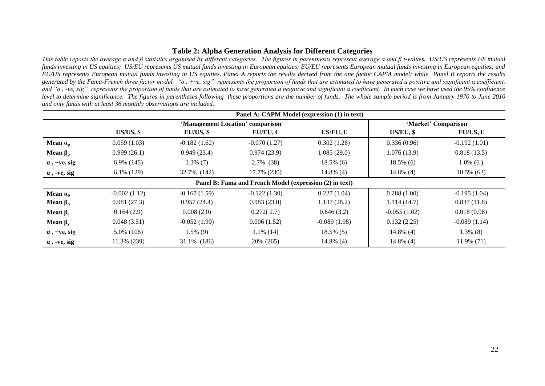#### **Table 2: Alpha Generation Analysis for Different Categories**

*This table reports the average α and β statistics organised by different categories. The figures in parentheses represent average α and β t-values. US/US represents US mutual funds investing in US equities; US/EU represents US mutual funds investing in European equities; EU/EU represents European mutual funds investing in European equities; and EU/US represents European mutual funds investing in US equities. Panel A reports the results derived from the one factor CAPM model; while Panel B reports the results*  generated by the Fama-French three factor model. "a, +ve, sig" represents the proportion of funds that are estimated to have generated a positive and significant α coefficient, *and "α , -ve, sig" represents the proportion of funds that are estimated to have generated a negative and significant α coefficient. In each case we have used the 95% confidence level to determine significance. The figures in parentheses following these proportions are the number of funds. The whole sample period is from January 1970 to June 2010 and only funds with at least 36 monthly observations are included.* 

|                       |                |                                  |                                                         | Panel A: CAPM Model (expression (1) in text) |                |                   |
|-----------------------|----------------|----------------------------------|---------------------------------------------------------|----------------------------------------------|----------------|-------------------|
|                       |                | 'Management Location' comparison | 'Market' Comparison                                     |                                              |                |                   |
|                       | $US/US$ , \$   | $EU/US$ , \$                     | $EU/EU, \epsilon$                                       | US/EU, $\epsilon$                            | $US/EU,$ \$    | $EU/US, \epsilon$ |
| Mean $\alpha_{\rm p}$ | 0.059(1.03)    | $-0.182(1.62)$                   | $-0.070(1.27)$                                          | 0.302(1.28)                                  | 0.336(0.96)    | $-0.192(1.01)$    |
| Mean $\beta_{\rm p}$  | 0.999(26.1)    | 0.949(23.4)                      | 0.974(23.9)                                             | 1.085(29.0)                                  | 1.076(13.9)    | 0.818(13.5)       |
| $\alpha$ , +ve, sig   | $6.9\%$ (145)  | $1.3\%$ (7)                      | 2.7% (38)                                               | $18.5\%$ (6)                                 | $18.5\%$ (6)   | $1.0\%$ (6)       |
| $\alpha$ , -ve, sig   | $6.1\%$ (129)  | 32.7% (142)                      | 17.7% (230)                                             | $14.8\%$ (4)                                 | $14.8\%$ (4)   | $10.5\%$ (63)     |
|                       |                |                                  | Panel B: Fama and French Model (expression (2) in text) |                                              |                |                   |
| Mean $\alpha_{\rm n}$ | $-0.002(1.12)$ | $-0.167(1.59)$                   | $-0.122(1.30)$                                          | 0.227(1.04)                                  | 0.288(1.00)    | $-0.195(1.04)$    |
| Mean $\beta_{p}$      | 0.981(27.3)    | 0.957(24.4)                      | 0.983(23.0)                                             | 1.137(28.2)                                  | 1.114(14.7)    | 0.837(11.8)       |
| Mean $\beta_s$        | 0.164(2.9)     | 0.008(2.0)                       | 0.272(2.7)                                              | 0.646(3.2)                                   | $-0.055(1.02)$ | 0.018(0.98)       |
| Mean $\beta_{v}$      | 0.048(3.51)    | $-0.052(1.90)$                   | 0.006(1.52)                                             | $-0.089(1.98)$                               | 0.132(2.25)    | $-0.089(1.14)$    |
| $\alpha$ , +ve, sig   | $5.0\%$ (106)  | $1.5\%$ (9)                      | $1.1\%$ (14)                                            | $18.5\%$ (5)                                 | $14.8\%$ (4)   | $1.3\%$ (8)       |
| $\alpha$ , -ve, sig   | 11.3% (239)    | 31.1% (186)                      | 20% (265)                                               | $14.8\%$ (4)                                 | $14.8\%$ (4)   | 11.9% (71)        |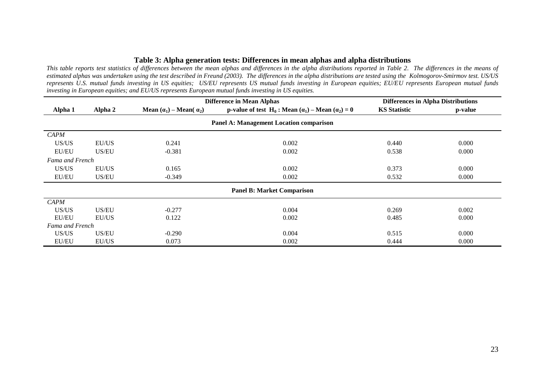#### **Table 3: Alpha generation tests: Differences in mean alphas and alpha distributions**

*This table reports test statistics of differences between the mean alphas and differences in the alpha distributions reported in Table 2. The differences in the means of estimated alphas was undertaken using the test described in Freund (2003). The differences in the alpha distributions are tested using the Kolmogorov-Smirmov test. US/US represents U.S. mutual funds investing in US equities; US/EU represents US mutual funds investing in European equities; EU/EU represents European mutual funds investing in European equities; and EU/US represents European mutual funds investing in US equities.*

|                        |                                                | <b>Difference in Mean Alphas</b>       | <b>Differences in Alpha Distributions</b>                                  |                     |         |  |  |  |  |  |  |
|------------------------|------------------------------------------------|----------------------------------------|----------------------------------------------------------------------------|---------------------|---------|--|--|--|--|--|--|
| Alpha 1                | Alpha 2                                        | Mean $(\alpha_1)$ – Mean( $\alpha_2$ ) | p-value of test H <sub>0</sub> : Mean $(\alpha_1)$ – Mean $(\alpha_2)$ = 0 | <b>KS</b> Statistic | p-value |  |  |  |  |  |  |
|                        | <b>Panel A: Management Location comparison</b> |                                        |                                                                            |                     |         |  |  |  |  |  |  |
| <b>CAPM</b>            |                                                |                                        |                                                                            |                     |         |  |  |  |  |  |  |
| US/US                  | EU/US                                          | 0.241                                  | 0.002                                                                      | 0.440               | 0.000   |  |  |  |  |  |  |
| EU/EU                  | US/EU                                          | $-0.381$                               | 0.002                                                                      | 0.538               | 0.000   |  |  |  |  |  |  |
| <b>Fama and French</b> |                                                |                                        |                                                                            |                     |         |  |  |  |  |  |  |
| US/US                  | EU/US                                          | 0.165                                  | 0.002                                                                      | 0.373               | 0.000   |  |  |  |  |  |  |
| EU/EU                  | US/EU                                          | $-0.349$                               | 0.002                                                                      | 0.532               | 0.000   |  |  |  |  |  |  |
|                        |                                                |                                        | <b>Panel B: Market Comparison</b>                                          |                     |         |  |  |  |  |  |  |
| CAPM                   |                                                |                                        |                                                                            |                     |         |  |  |  |  |  |  |
| US/US                  | <b>US/EU</b>                                   | $-0.277$                               | 0.004                                                                      | 0.269               | 0.002   |  |  |  |  |  |  |
| EU/EU                  | EU/US                                          | 0.122                                  | 0.002                                                                      | 0.485               | 0.000   |  |  |  |  |  |  |
| <b>Fama and French</b> |                                                |                                        |                                                                            |                     |         |  |  |  |  |  |  |
| US/US                  | <b>US/EU</b>                                   | $-0.290$                               | 0.004                                                                      | 0.515               | 0.000   |  |  |  |  |  |  |
| EU/EU                  | EU/US                                          | 0.073                                  | 0.002                                                                      | 0.444               | 0.000   |  |  |  |  |  |  |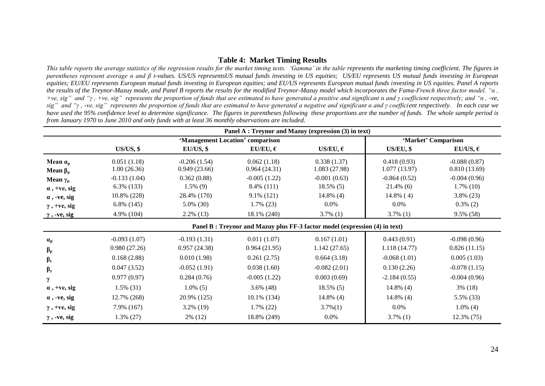#### **Table 4: Market Timing Results**

*This table reports the average statistics of the regression results for the market timing tests. 'Gamma' in the table represents the marketing timing coefficient. The figures in parentheses represent average α and β t-values. US/US representsUS mutual funds investing in US equities; US/EU represents US mutual funds investing in European equities; EU/EU represents European mutual funds investing in European equities; and EU/US represents European mutual funds investing in US equities. Panel A reports the results of the Treynor-Mazuy mode, and Panel B reports the results for the modified Treynor-Mazuy model which incorporates the Fama-French three factor model. "α , +ve, sig" and "γ , +ve, sig" represents the proportion of funds that are estimated to have generated a positive and significant α and γ coefficient respectively; and "α , -ve, sig" and "γ , -ve, sig" represents the proportion of funds that are estimated to have generated a negative and significant α and γ coefficient respectively. In each case we have used the 95% confidence level to determine significance. The figures in parentheses following these proportions are the number of funds. The whole sample period is from January 1970 to June 2010 and only funds with at least 36 monthly observations are included.* 

|                       | Panel A : Treynor and Mazuy (expression (3) in text) |                                  |                                                                            |                     |                |                   |  |  |  |  |
|-----------------------|------------------------------------------------------|----------------------------------|----------------------------------------------------------------------------|---------------------|----------------|-------------------|--|--|--|--|
|                       |                                                      | 'Management Location' comparison |                                                                            | 'Market' Comparison |                |                   |  |  |  |  |
|                       | $US/US$ , \$                                         | $EU/US$ , \$                     | $EU/EU, \varepsilon$                                                       | US/EU, $\epsilon$   | $US/EU,$ \$    | $EU/US, \epsilon$ |  |  |  |  |
| Mean $\alpha_{\rm p}$ | 0.051(1.18)                                          | $-0.206(1.54)$                   | 0.062(1.18)                                                                | 0.338(1.37)         | 0.418(0.93)    | $-0.088(0.87)$    |  |  |  |  |
| Mean $\beta_p$        | 1.00(26.36)                                          | 0.949(23.66)                     | 0.964(24.31)                                                               | 1.083(27.98)        | 1.077(13.97)   | 0.810(13.69)      |  |  |  |  |
| Mean $\gamma_p$       | $-0.133(1.04)$                                       | 0.362(0.88)                      | $-0.005(1.22)$                                                             | $-0.001(0.63)$      | $-0.864(0.52)$ | $-0.004(0.96)$    |  |  |  |  |
| $\alpha$ , +ve, sig   | $6.3\%$ (133)                                        | $1.5\%$ (9)                      | 8.4% (111)                                                                 | $18.5\%$ (5)        | $21.4\%$ (6)   | $1.7\%$ (10)      |  |  |  |  |
| $\alpha$ , -ve, sig   | 10.8% (228)                                          | 28.4% (170)                      | $9.1\%$ (121)                                                              | $14.8\%$ (4)        | $14.8\%$ (4)   | $3.8\%$ (23)      |  |  |  |  |
| $\gamma$ , +ve, sig   | $6.8\%$ (145)                                        | $5.0\%$ (30)                     | $1.7\%$ (23)                                                               | $0.0\%$             | $0.0\%$        | $0.3\%$ (2)       |  |  |  |  |
| $\gamma$ , -ve, sig   | 4.9% (104)                                           | $2.2\%$ (13)                     | 18.1% (240)                                                                | $3.7\%$ (1)         | $3.7\%$ (1)    | 9.5% (58)         |  |  |  |  |
|                       |                                                      |                                  | Panel B: Treynor and Mazuy plus FF-3 factor model (expression (4) in text) |                     |                |                   |  |  |  |  |
| $\alpha_{\rm p}$      | $-0.093(1.07)$                                       | $-0.193(1.31)$                   | 0.011(1.07)                                                                | 0.167(1.01)         | 0.443(0.91)    | $-0.098(0.96)$    |  |  |  |  |
| $\beta_{p}$           | 0.980(27.26)                                         | 0.957(24.38)                     | 0.964(21.95)                                                               | 1.142(27.65)        | 1.118(14.77)   | 0.826(11.15)      |  |  |  |  |
| $\beta_{s}$           | 0.168(2.88)                                          | 0.010(1.98)                      | 0.261(2.75)                                                                | 0.664(3.18)         | $-0.068(1.01)$ | 0.005(1.03)       |  |  |  |  |
| $\beta_y$             | 0.047(3.52)                                          | $-0.052(1.91)$                   | 0.038(1.60)                                                                | $-0.082(2.01)$      | 0.130(2.26)    | $-0.078(1.15)$    |  |  |  |  |
| γ                     | 0.977(0.97)                                          | 0.284(0.76)                      | $-0.005(1.22)$                                                             | 0.003(0.69)         | $-2.184(0.55)$ | $-0.004(0.96)$    |  |  |  |  |
| $\alpha$ , +ve, sig   | $1.5\%$ (31)                                         | $1.0\%$ (5)                      | $3.6\%$ (48)                                                               | $18.5\%$ (5)        | $14.8\%$ (4)   | $3\%$ (18)        |  |  |  |  |
| $\alpha$ , -ve, sig   | 12.7% (268)                                          | 20.9% (125)                      | 10.1% (134)                                                                | $14.8\%$ (4)        | $14.8\%$ (4)   | 5.5% (33)         |  |  |  |  |
| $\gamma$ , +ve, sig   | 7.9% (167)                                           | $3.2\%$ (19)                     | $1.7\%$ (22)                                                               | $3.7\%(1)$          | $0.0\%$        | $1.0\%$ (4)       |  |  |  |  |
| $\gamma$ , -ve, sig   | $1.3\%$ (27)                                         | 2% (12)                          | 18.8% (249)                                                                | $0.0\%$             | $3.7\%$ (1)    | 12.3% (75)        |  |  |  |  |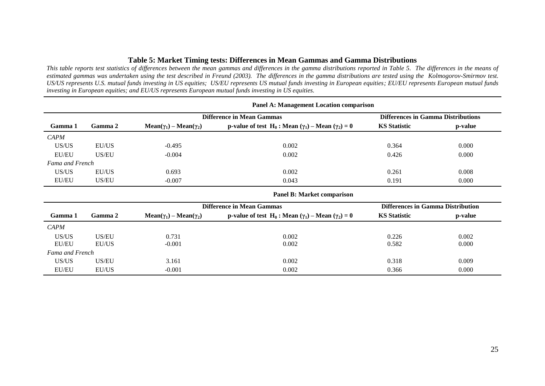#### **Table 5: Market Timing tests: Differences in Mean Gammas and Gamma Distributions**

*This table reports test statistics of differences between the mean gammas and differences in the gamma distributions reported in Table 5. The differences in the means of*  estimated gammas was undertaken using the test described in Freund (2003). The differences in the gamma distributions are tested using the Kolmogorov-Smirmov test. *US/US represents U.S. mutual funds investing in US equities; US/EU represents US mutual funds investing in European equities; EU/EU represents European mutual funds investing in European equities; and EU/US represents European mutual funds investing in US equities.*

|                 | Panel A: Management Location comparison |                                         |                                                                            |                                           |         |  |  |  |  |
|-----------------|-----------------------------------------|-----------------------------------------|----------------------------------------------------------------------------|-------------------------------------------|---------|--|--|--|--|
|                 |                                         |                                         | <b>Difference in Mean Gammas</b>                                           | <b>Differences in Gamma Distributions</b> |         |  |  |  |  |
| Gamma 1         | Gamma 2                                 | Mean( $\gamma_1$ ) – Mean( $\gamma_2$ ) | p-value of test H <sub>0</sub> : Mean $(\gamma_1)$ – Mean $(\gamma_2)$ = 0 | <b>KS</b> Statistic                       | p-value |  |  |  |  |
| <b>CAPM</b>     |                                         |                                         |                                                                            |                                           |         |  |  |  |  |
| US/US           | EU/US                                   | $-0.495$                                | 0.002                                                                      | 0.364                                     | 0.000   |  |  |  |  |
| EU/EU           | US/EU                                   | $-0.004$                                | 0.002                                                                      | 0.426                                     | 0.000   |  |  |  |  |
| Fama and French |                                         |                                         |                                                                            |                                           |         |  |  |  |  |
| US/US           | EU/US                                   | 0.693                                   | 0.002                                                                      | 0.261                                     | 0.008   |  |  |  |  |
| EU/EU           | US/EU                                   | $-0.007$                                | 0.043                                                                      | 0.191                                     | 0.000   |  |  |  |  |
|                 |                                         |                                         | Panel B: Market comparison                                                 |                                           |         |  |  |  |  |
|                 |                                         |                                         | <b>Difference in Mean Gammas</b>                                           | <b>Differences in Gamma Distribution</b>  |         |  |  |  |  |
| Gamma 1         | Gamma 2                                 | Mean( $\gamma_1$ ) – Mean( $\gamma_2$ ) | p-value of test H <sub>0</sub> : Mean $(\gamma_1)$ – Mean $(\gamma_2)$ = 0 | <b>KS</b> Statistic                       | p-value |  |  |  |  |
| <b>CAPM</b>     |                                         |                                         |                                                                            |                                           |         |  |  |  |  |
| US/US           | US/EU                                   | 0.731                                   | 0.002                                                                      | 0.226                                     | 0.002   |  |  |  |  |
| <b>EU/EU</b>    | EU/US                                   | $-0.001$                                | 0.002                                                                      | 0.582                                     | 0.000   |  |  |  |  |
| Fama and French |                                         |                                         |                                                                            |                                           |         |  |  |  |  |
| US/US           | US/EU                                   | 3.161                                   | 0.002                                                                      | 0.318                                     | 0.009   |  |  |  |  |
| <b>EU/EU</b>    | EU/US                                   | $-0.001$                                | 0.002                                                                      | 0.366                                     | 0.000   |  |  |  |  |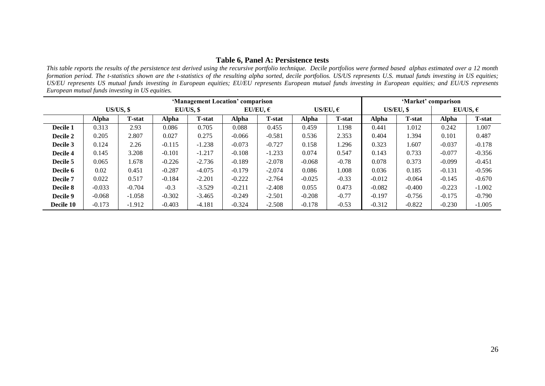#### **Table 6, Panel A: Persistence tests**

*This table reports the results of the persistence test derived using the recursive portfolio technique. Decile portfolios were formed based alphas estimated over a 12 month formation period. The t-statistics shown are the t-statistics of the resulting alpha sorted, decile portfolios. US/US represents U.S. mutual funds investing in US equities; US/EU represents US mutual funds investing in European equities; EU/EU represents European mutual funds investing in European equities; and EU/US represents European mutual funds investing in US equities.*

|           | 'Management Location' comparison |                              |          |          |              |                   |              |                   |              |               | 'Market' comparison |          |
|-----------|----------------------------------|------------------------------|----------|----------|--------------|-------------------|--------------|-------------------|--------------|---------------|---------------------|----------|
|           |                                  | $US/US$ , \$<br>$EU/US$ , \$ |          |          |              | EU/EU, $\epsilon$ |              | US/EU, $\epsilon$ | $US/EU,$ \$  |               | EU/US, $\epsilon$   |          |
|           | <b>Alpha</b>                     | <b>T-stat</b>                | Alpha    | T-stat   | <b>Alpha</b> | <b>T-stat</b>     | <b>Alpha</b> | <b>T-stat</b>     | <b>Alpha</b> | <b>T-stat</b> | <b>Alpha</b>        | T-stat   |
| Decile 1  | 0.313                            | 2.93                         | 0.086    | 0.705    | 0.088        | 0.455             | 0.459        | 1.198             | 0.441        | 1.012         | 0.242               | 1.007    |
| Decile 2  | 0.205                            | 2.807                        | 0.027    | 0.275    | $-0.066$     | $-0.581$          | 0.536        | 2.353             | 0.404        | 1.394         | 0.101               | 0.487    |
| Decile 3  | 0.124                            | 2.26                         | $-0.115$ | $-1.238$ | $-0.073$     | $-0.727$          | 0.158        | 1.296             | 0.323        | 1.607         | $-0.037$            | $-0.178$ |
| Decile 4  | 0.145                            | 3.208                        | $-0.101$ | $-1.217$ | $-0.108$     | $-1.233$          | 0.074        | 0.547             | 0.143        | 0.733         | $-0.077$            | $-0.356$ |
| Decile 5  | 0.065                            | 1.678                        | $-0.226$ | $-2.736$ | $-0.189$     | $-2.078$          | $-0.068$     | $-0.78$           | 0.078        | 0.373         | $-0.099$            | $-0.451$ |
| Decile 6  | 0.02                             | 0.451                        | $-0.287$ | $-4.075$ | $-0.179$     | $-2.074$          | 0.086        | .008              | 0.036        | 0.185         | $-0.131$            | $-0.596$ |
| Decile 7  | 0.022                            | 0.517                        | $-0.184$ | $-2.201$ | $-0.222$     | $-2.764$          | $-0.025$     | $-0.33$           | $-0.012$     | $-0.064$      | $-0.145$            | $-0.670$ |
| Decile 8  | $-0.033$                         | $-0.704$                     | $-0.3$   | $-3.529$ | $-0.211$     | $-2.408$          | 0.055        | 0.473             | $-0.082$     | $-0.400$      | $-0.223$            | $-1.002$ |
| Decile 9  | $-0.068$                         | $-1.058$                     | $-0.302$ | $-3.465$ | $-0.249$     | $-2.501$          | $-0.208$     | $-0.77$           | $-0.197$     | $-0.756$      | $-0.175$            | $-0.790$ |
| Decile 10 | $-0.173$                         | $-1.912$                     | $-0.403$ | $-4.181$ | $-0.324$     | $-2.508$          | $-0.178$     | $-0.53$           | $-0.312$     | $-0.822$      | $-0.230$            | $-1.005$ |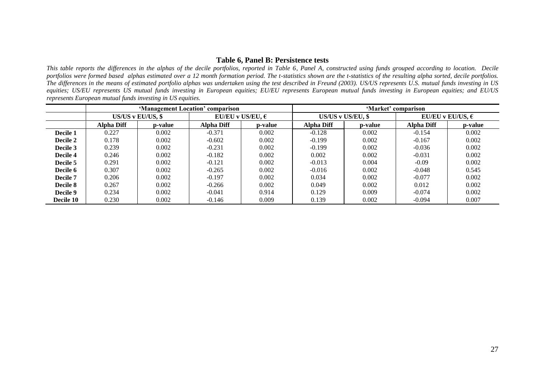#### **Table 6, Panel B: Persistence tests**

*This table reports the differences in the alphas of the decile portfolios, reported in Table 6, Panel A, constructed using funds grouped according to location. Decile portfolios were formed based alphas estimated over a 12 month formation period. The t-statistics shown are the t-statistics of the resulting alpha sorted, decile portfolios. The differences in the means of estimated portfolio alphas was undertaken using the test described in Freund (2003). US/US represents U.S. mutual funds investing in US equities; US/EU represents US mutual funds investing in European equities; EU/EU represents European mutual funds investing in European equities; and EU/US represents European mutual funds investing in US equities.*

|           |                    |         | 'Management Location' comparison |         |            | 'Market' comparison |                           |         |  |
|-----------|--------------------|---------|----------------------------------|---------|------------|---------------------|---------------------------|---------|--|
|           | US/US v EU/US, $$$ |         | EU/EU v US/EU, $\epsilon$        |         |            | US/US v US/EU, \$   | EU/EU v EU/US, $\epsilon$ |         |  |
|           | <b>Alpha Diff</b>  | p-value | <b>Alpha Diff</b>                | p-value | Alpha Diff | <b>p</b> -value     | <b>Alpha Diff</b>         | p-value |  |
| Decile 1  | 0.227              | 0.002   | $-0.371$                         | 0.002   | $-0.128$   | 0.002               | $-0.154$                  | 0.002   |  |
| Decile 2  | 0.178              | 0.002   | $-0.602$                         | 0.002   | $-0.199$   | 0.002               | $-0.167$                  | 0.002   |  |
| Decile 3  | 0.239              | 0.002   | $-0.231$                         | 0.002   | $-0.199$   | 0.002               | $-0.036$                  | 0.002   |  |
| Decile 4  | 0.246              | 0.002   | $-0.182$                         | 0.002   | 0.002      | 0.002               | $-0.031$                  | 0.002   |  |
| Decile 5  | 0.291              | 0.002   | $-0.121$                         | 0.002   | $-0.013$   | 0.004               | $-0.09$                   | 0.002   |  |
| Decile 6  | 0.307              | 0.002   | $-0.265$                         | 0.002   | $-0.016$   | 0.002               | $-0.048$                  | 0.545   |  |
| Decile 7  | 0.206              | 0.002   | $-0.197$                         | 0.002   | 0.034      | 0.002               | $-0.077$                  | 0.002   |  |
| Decile 8  | 0.267              | 0.002   | $-0.266$                         | 0.002   | 0.049      | 0.002               | 0.012                     | 0.002   |  |
| Decile 9  | 0.234              | 0.002   | $-0.041$                         | 0.914   | 0.129      | 0.009               | $-0.074$                  | 0.002   |  |
| Decile 10 | 0.230              | 0.002   | $-0.146$                         | 0.009   | 0.139      | 0.002               | $-0.094$                  | 0.007   |  |